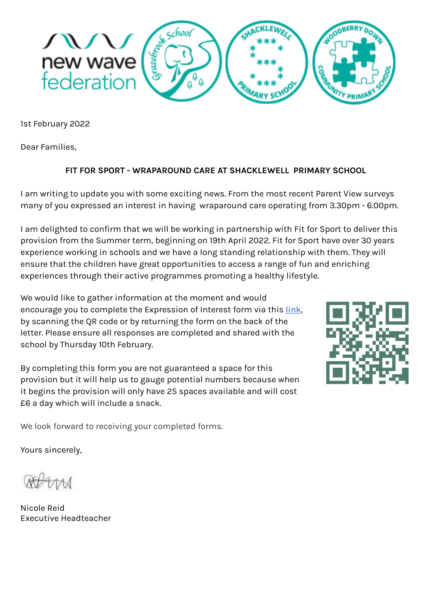

1st February 2022

Dear Families,

## **FIT FOR SPORT - WRAPAROUND CARE AT SHACKLEWELL PRIMARY SCHOOL**

I am writing to update you with some exciting news. From the most recent Parent View surveys many of you expressed an interest in having wraparound care operating from 3.30pm - 6.00pm.

I am delighted to confirm that we will be working in partnership with Fit for Sport to deliver this provision from the Summer term, beginning on 19th April 2022. Fit for Sport have over 30 years experience working in schools and we have a long standing relationship with them. They will ensure that the children have great opportunities to access a range of fun and enriching experiences through their active programmes promoting a healthy lifestyle.

We would like to gather information at the moment and would encourage you to complete the Expression of Interest form via this [link](https://forms.gle/3k84w9PZQtZSexuH9), by scanning the QR code or by returning the form on the back of the letter. Please ensure all responses are completed and shared with the school by Thursday 10th February.

By completing this form you are not guaranteed a space for this provision but it will help us to gauge potential numbers because when it begins the provision will only have 25 spaces available and will cost £6 a day which will include a snack.



We look forward to receiving your completed forms.

Yours sincerely,

Nicole Reid Executive Headteacher